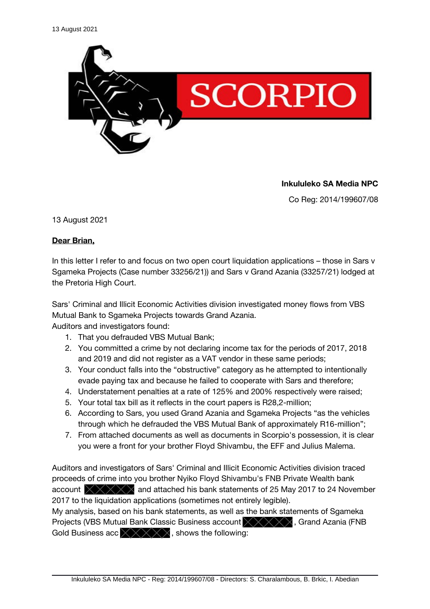

**Inkululeko SA Media NPC**

Co Reg: 2014/199607/08

13 August 2021

## **Dear Brian,**

In this letter I refer to and focus on two open court liquidation applications – those in Sars v Sgameka Projects (Case number 33256/21)) and Sars v Grand Azania (33257/21) lodged at the Pretoria High Court.

Sars' Criminal and Illicit Economic Activities division investigated money flows from VBS Mutual Bank to Sgameka Projects towards Grand Azania.

Auditors and investigators found:

- 1. That you defrauded VBS Mutual Bank;
- 2. You committed a crime by not declaring income tax for the periods of 2017, 2018 and 2019 and did not register as a VAT vendor in these same periods;
- 3. Your conduct falls into the "obstructive" category as he attempted to intentionally evade paying tax and because he failed to cooperate with Sars and therefore;
- 4. Understatement penalties at a rate of 125% and 200% respectively were raised;
- 5. Your total tax bill as it refects in the court papers is R28,2-million;
- 6. According to Sars, you used Grand Azania and Sgameka Projects "as the vehicles through which he defrauded the VBS Mutual Bank of approximately R16-million";
- 7. From attached documents as well as documents in Scorpio's possession, it is clear you were a front for your brother Floyd Shivambu, the EFF and Julius Malema.

Auditors and investigators of Sars' Criminal and Illicit Economic Activities division traced proceeds of crime into you brother Nyiko Floyd Shivambu's FNB Private Wealth bank account  $\overrightarrow{\times}\times\overrightarrow{\times}\times\overrightarrow{ }$  and attached his bank statements of 25 May 2017 to 24 November 2017 to the liquidation applications (sometimes not entirely legible).

My analysis, based on his bank statements, as well as the bank statements of Sgameka Projects (VBS Mutual Bank Classic Business account  $\chi \chi \chi \chi$ , Grand Azania (FNB) Gold Business acc  $\times$   $\times$   $\times$   $\times$   $\times$  shows the following: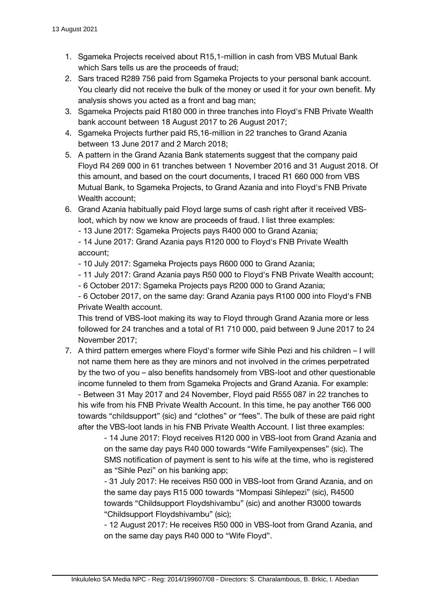- 1. Sgameka Projects received about R15,1-million in cash from VBS Mutual Bank which Sars tells us are the proceeds of fraud;
- 2. Sars traced R289 756 paid from Sgameka Projects to your personal bank account. You clearly did not receive the bulk of the money or used it for your own beneft. My analysis shows you acted as a front and bag man;
- 3. Sgameka Projects paid R180 000 in three tranches into Floyd's FNB Private Wealth bank account between 18 August 2017 to 26 August 2017;
- 4. Sgameka Projects further paid R5,16-million in 22 tranches to Grand Azania between 13 June 2017 and 2 March 2018;
- 5. A pattern in the Grand Azania Bank statements suggest that the company paid Floyd R4 269 000 in 61 tranches between 1 November 2016 and 31 August 2018. Of this amount, and based on the court documents, I traced R1 660 000 from VBS Mutual Bank, to Sgameka Projects, to Grand Azania and into Floyd's FNB Private Wealth account;
- 6. Grand Azania habitually paid Floyd large sums of cash right after it received VBSloot, which by now we know are proceeds of fraud. I list three examples:

- 13 June 2017: Sgameka Projects pays R400 000 to Grand Azania;

- 14 June 2017: Grand Azania pays R120 000 to Floyd's FNB Private Wealth account;

- 10 July 2017: Sgameka Projects pays R600 000 to Grand Azania;

- 11 July 2017: Grand Azania pays R50 000 to Floyd's FNB Private Wealth account;

- 6 October 2017: Sgameka Projects pays R200 000 to Grand Azania;

- 6 October 2017, on the same day: Grand Azania pays R100 000 into Floyd's FNB Private Wealth account.

This trend of VBS-loot making its way to Floyd through Grand Azania more or less followed for 24 tranches and a total of R1 710 000, paid between 9 June 2017 to 24 November 2017;

7. A third pattern emerges where Floyd's former wife Sihle Pezi and his children – I will not name them here as they are minors and not involved in the crimes perpetrated by the two of you – also benefits handsomely from VBS-loot and other questionable income funneled to them from Sgameka Projects and Grand Azania. For example: - Between 31 May 2017 and 24 November, Floyd paid R555 087 in 22 tranches to his wife from his FNB Private Wealth Account. In this time, he pay another T66 000 towards "childsupport" (sic) and "clothes" or "fees". The bulk of these are paid right after the VBS-loot lands in his FNB Private Wealth Account. I list three examples:

> - 14 June 2017: Floyd receives R120 000 in VBS-loot from Grand Azania and on the same day pays R40 000 towards "Wife Familyexpenses" (sic). The SMS notification of payment is sent to his wife at the time, who is registered as "Sihle Pezi" on his banking app;

- 31 July 2017: He receives R50 000 in VBS-loot from Grand Azania, and on the same day pays R15 000 towards "Mompasi Sihlepezi" (sic), R4500 towards "Childsupport Floydshivambu" (sic) and another R3000 towards "Childsupport Floydshivambu" (sic);

- 12 August 2017: He receives R50 000 in VBS-loot from Grand Azania, and on the same day pays R40 000 to "Wife Floyd".